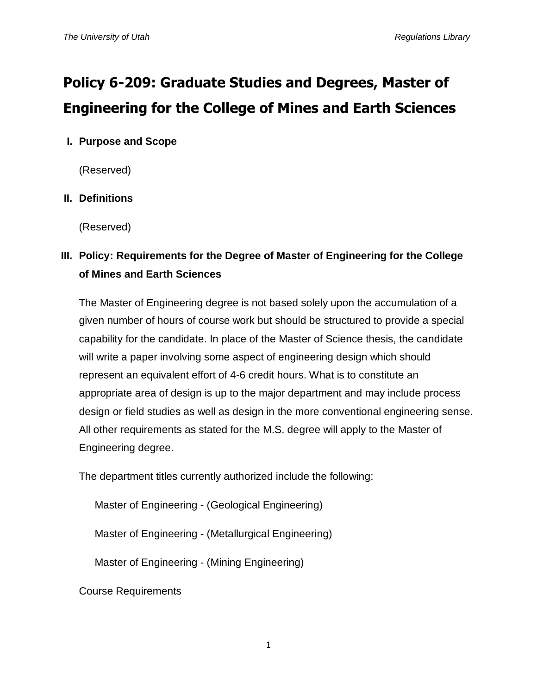# **Policy 6-209: Graduate Studies and Degrees, Master of Engineering for the College of Mines and Earth Sciences**

## **I. Purpose and Scope**

(Reserved)

## **II. Definitions**

(Reserved)

# **III. Policy: Requirements for the Degree of Master of Engineering for the College of Mines and Earth Sciences**

The Master of Engineering degree is not based solely upon the accumulation of a given number of hours of course work but should be structured to provide a special capability for the candidate. In place of the Master of Science thesis, the candidate will write a paper involving some aspect of engineering design which should represent an equivalent effort of 4-6 credit hours. What is to constitute an appropriate area of design is up to the major department and may include process design or field studies as well as design in the more conventional engineering sense. All other requirements as stated for the M.S. degree will apply to the Master of Engineering degree.

The department titles currently authorized include the following:

Master of Engineering - (Geological Engineering)

Master of Engineering - (Metallurgical Engineering)

Master of Engineering - (Mining Engineering)

Course Requirements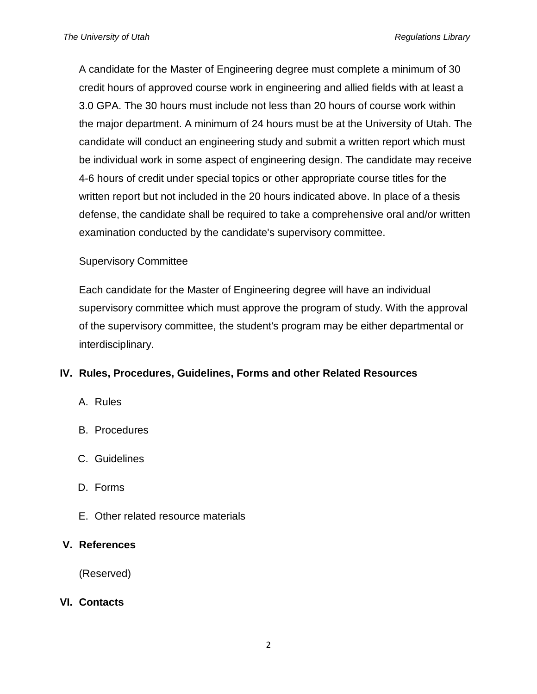A candidate for the Master of Engineering degree must complete a minimum of 30 credit hours of approved course work in engineering and allied fields with at least a 3.0 GPA. The 30 hours must include not less than 20 hours of course work within the major department. A minimum of 24 hours must be at the University of Utah. The candidate will conduct an engineering study and submit a written report which must be individual work in some aspect of engineering design. The candidate may receive 4-6 hours of credit under special topics or other appropriate course titles for the written report but not included in the 20 hours indicated above. In place of a thesis defense, the candidate shall be required to take a comprehensive oral and/or written examination conducted by the candidate's supervisory committee.

#### Supervisory Committee

Each candidate for the Master of Engineering degree will have an individual supervisory committee which must approve the program of study. With the approval of the supervisory committee, the student's program may be either departmental or interdisciplinary.

#### **IV. Rules, Procedures, Guidelines, Forms and other Related Resources**

- A. Rules
- B. Procedures
- C. Guidelines
- D. Forms
- E. Other related resource materials

#### **V. References**

(Reserved)

#### **VI. Contacts**